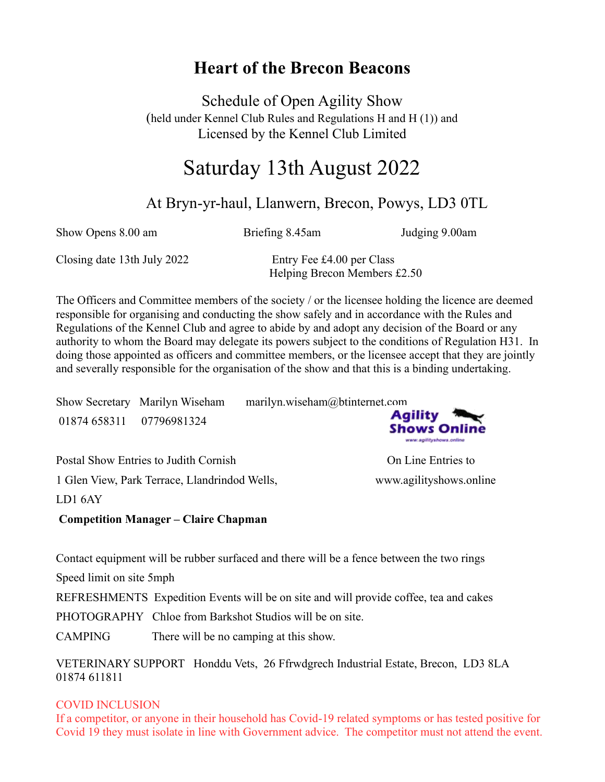# **Heart of the Brecon Beacons**

Schedule of Open Agility Show (held under Kennel Club Rules and Regulations H and H (1)) and Licensed by the Kennel Club Limited

# Saturday 13th August 2022

# At Bryn-yr-haul, Llanwern, Brecon, Powys, LD3 0TL

Show Opens 8.00 am Briefing 8.45am Judging 9.00am

Closing date 13th July 2022 Entry Fee £4.00 per Class

Helping Brecon Members £2.50

The Officers and Committee members of the society / or the licensee holding the licence are deemed responsible for organising and conducting the show safely and in accordance with the Rules and Regulations of the Kennel Club and agree to abide by and adopt any decision of the Board or any authority to whom the Board may delegate its powers subject to the conditions of Regulation H31. In doing those appointed as officers and committee members, or the licensee accept that they are jointly and severally responsible for the organisation of the show and that this is a binding undertaking.

|                          | Show Secretary Marilyn Wiseham | marilyn.wiseham@btinternet.com |
|--------------------------|--------------------------------|--------------------------------|
| 01874 658311 07796981324 |                                | <b>Agility</b><br>Shows Online |

Postal Show Entries to Judith Cornish On Line Entries to 1 Glen View, Park Terrace, Llandrindod Wells, www.agilityshows.online

www.ag/lityshows.online

LD1 6AY

**Competition Manager – Claire Chapman** 

Contact equipment will be rubber surfaced and there will be a fence between the two rings

Speed limit on site 5mph

REFRESHMENTS Expedition Events will be on site and will provide coffee, tea and cakes

PHOTOGRAPHY Chloe from Barkshot Studios will be on site.

CAMPING There will be no camping at this show.

VETERINARY SUPPORT Honddu Vets, 26 Ffrwdgrech Industrial Estate, Brecon, LD3 8LA 01874 611811

### COVID INCLUSION

If a competitor, or anyone in their household has Covid-19 related symptoms or has tested positive for Covid 19 they must isolate in line with Government advice. The competitor must not attend the event.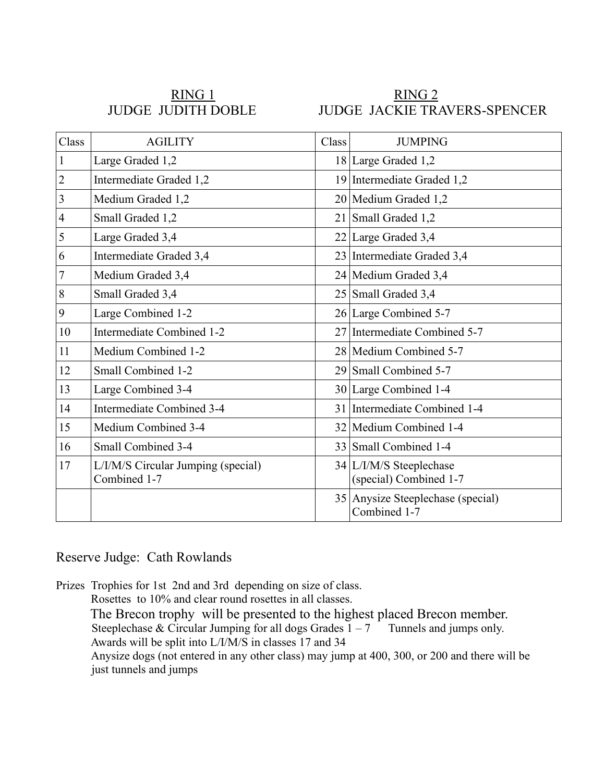RING 1 RING 2 JUDGE JUDITH DOBLE JUDGE JACKIE TRAVERS-SPENCER

| Class          | <b>AGILITY</b>                                     | Class           | <b>JUMPING</b>                                    |
|----------------|----------------------------------------------------|-----------------|---------------------------------------------------|
| 1              | Large Graded 1,2                                   |                 | 18 Large Graded 1,2                               |
| $\overline{2}$ | Intermediate Graded 1,2                            |                 | 19 Intermediate Graded 1,2                        |
| 3              | Medium Graded 1,2                                  |                 | 20 Medium Graded 1,2                              |
| $\overline{4}$ | Small Graded 1,2                                   |                 | 21 Small Graded 1,2                               |
| 5              | Large Graded 3,4                                   |                 | $22$ Large Graded 3,4                             |
| 6              | Intermediate Graded 3,4                            |                 | 23 Intermediate Graded 3,4                        |
| 7              | Medium Graded 3,4                                  |                 | 24 Medium Graded 3,4                              |
| 8              | Small Graded 3,4                                   | 25 <sub>1</sub> | Small Graded 3,4                                  |
| 9              | Large Combined 1-2                                 |                 | 26 Large Combined 5-7                             |
| 10             | Intermediate Combined 1-2                          |                 | 27 Intermediate Combined 5-7                      |
| 11             | Medium Combined 1-2                                |                 | 28 Medium Combined 5-7                            |
| 12             | Small Combined 1-2                                 |                 | 29 Small Combined 5-7                             |
| 13             | Large Combined 3-4                                 |                 | 30 Large Combined 1-4                             |
| 14             | Intermediate Combined 3-4                          |                 | 31 Intermediate Combined 1-4                      |
| 15             | Medium Combined 3-4                                |                 | 32 Medium Combined 1-4                            |
| 16             | Small Combined 3-4                                 | 33              | Small Combined 1-4                                |
| 17             | L/I/M/S Circular Jumping (special)<br>Combined 1-7 |                 | 34 L/I/M/S Steeplechase<br>(special) Combined 1-7 |
|                |                                                    | 35              | Anysize Steeplechase (special)<br>Combined 1-7    |

Reserve Judge: Cath Rowlands

Prizes Trophies for 1st 2nd and 3rd depending on size of class. Rosettes to 10% and clear round rosettes in all classes. The Brecon trophy will be presented to the highest placed Brecon member. Steeplechase & Circular Jumping for all dogs Grades  $1 - 7$  Tunnels and jumps only. Awards will be split into L/I/M/S in classes 17 and 34 Anysize dogs (not entered in any other class) may jump at 400, 300, or 200 and there will be just tunnels and jumps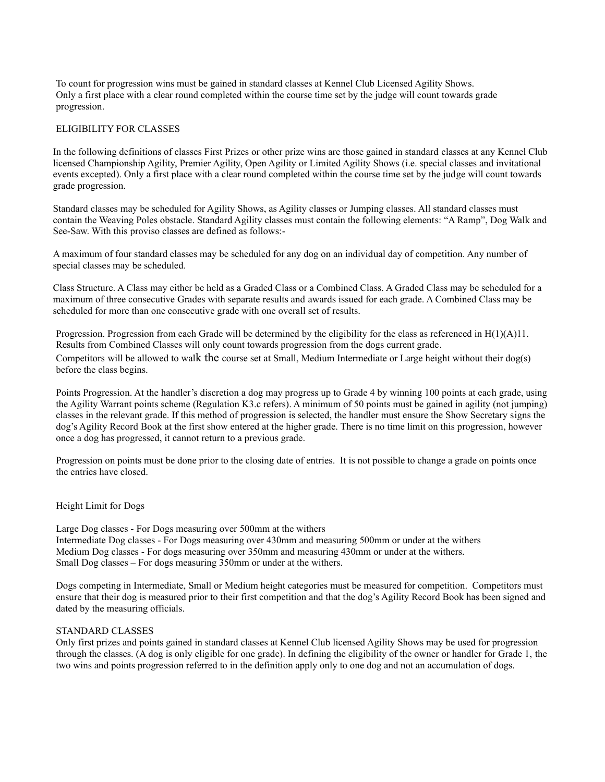To count for progression wins must be gained in standard classes at Kennel Club Licensed Agility Shows. Only a first place with a clear round completed within the course time set by the judge will count towards grade progression.

#### ELIGIBILITY FOR CLASSES

In the following definitions of classes First Prizes or other prize wins are those gained in standard classes at any Kennel Club licensed Championship Agility, Premier Agility, Open Agility or Limited Agility Shows (i.e. special classes and invitational events excepted). Only a first place with a clear round completed within the course time set by the judge will count towards grade progression.

Standard classes may be scheduled for Agility Shows, as Agility classes or Jumping classes. All standard classes must contain the Weaving Poles obstacle. Standard Agility classes must contain the following elements: "A Ramp", Dog Walk and See-Saw. With this proviso classes are defined as follows:-

A maximum of four standard classes may be scheduled for any dog on an individual day of competition. Any number of special classes may be scheduled.

Class Structure. A Class may either be held as a Graded Class or a Combined Class. A Graded Class may be scheduled for a maximum of three consecutive Grades with separate results and awards issued for each grade. A Combined Class may be scheduled for more than one consecutive grade with one overall set of results.

Progression. Progression from each Grade will be determined by the eligibility for the class as referenced in  $H(1)(A)11$ . Results from Combined Classes will only count towards progression from the dogs current grade. Competitors will be allowed to walk the course set at Small, Medium Intermediate or Large height without their dog(s) before the class begins.

Points Progression. At the handler's discretion a dog may progress up to Grade 4 by winning 100 points at each grade, using the Agility Warrant points scheme (Regulation K3.c refers). A minimum of 50 points must be gained in agility (not jumping) classes in the relevant grade. If this method of progression is selected, the handler must ensure the Show Secretary signs the dog's Agility Record Book at the first show entered at the higher grade. There is no time limit on this progression, however once a dog has progressed, it cannot return to a previous grade.

Progression on points must be done prior to the closing date of entries. It is not possible to change a grade on points once the entries have closed.

#### Height Limit for Dogs

Large Dog classes - For Dogs measuring over 500mm at the withers Intermediate Dog classes - For Dogs measuring over 430mm and measuring 500mm or under at the withers Medium Dog classes - For dogs measuring over 350mm and measuring 430mm or under at the withers. Small Dog classes – For dogs measuring 350mm or under at the withers.

Dogs competing in Intermediate, Small or Medium height categories must be measured for competition. Competitors must ensure that their dog is measured prior to their first competition and that the dog's Agility Record Book has been signed and dated by the measuring officials.

#### STANDARD CLASSES

Only first prizes and points gained in standard classes at Kennel Club licensed Agility Shows may be used for progression through the classes. (A dog is only eligible for one grade). In defining the eligibility of the owner or handler for Grade 1, the two wins and points progression referred to in the definition apply only to one dog and not an accumulation of dogs.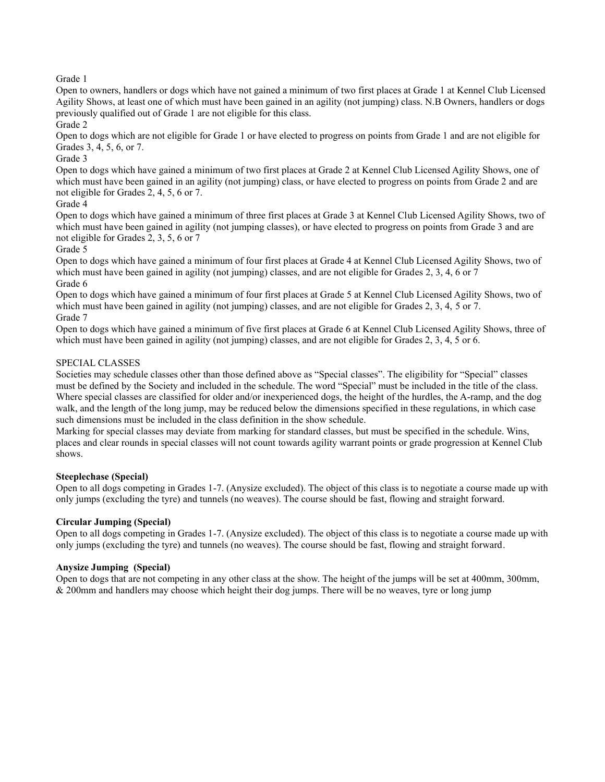Grade 1

Open to owners, handlers or dogs which have not gained a minimum of two first places at Grade 1 at Kennel Club Licensed Agility Shows, at least one of which must have been gained in an agility (not jumping) class. N.B Owners, handlers or dogs previously qualified out of Grade 1 are not eligible for this class.

Grade 2

Open to dogs which are not eligible for Grade 1 or have elected to progress on points from Grade 1 and are not eligible for Grades 3, 4, 5, 6, or 7.

Grade 3

Open to dogs which have gained a minimum of two first places at Grade 2 at Kennel Club Licensed Agility Shows, one of which must have been gained in an agility (not jumping) class, or have elected to progress on points from Grade 2 and are not eligible for Grades 2, 4, 5, 6 or 7.

#### Grade 4

Open to dogs which have gained a minimum of three first places at Grade 3 at Kennel Club Licensed Agility Shows, two of which must have been gained in agility (not jumping classes), or have elected to progress on points from Grade 3 and are not eligible for Grades 2, 3, 5, 6 or 7

#### Grade 5

Open to dogs which have gained a minimum of four first places at Grade 4 at Kennel Club Licensed Agility Shows, two of which must have been gained in agility (not jumping) classes, and are not eligible for Grades 2, 3, 4, 6 or 7 Grade 6

Open to dogs which have gained a minimum of four first places at Grade 5 at Kennel Club Licensed Agility Shows, two of which must have been gained in agility (not jumping) classes, and are not eligible for Grades 2, 3, 4, 5 or 7. Grade 7

Open to dogs which have gained a minimum of five first places at Grade 6 at Kennel Club Licensed Agility Shows, three of which must have been gained in agility (not jumping) classes, and are not eligible for Grades 2, 3, 4, 5 or 6.

#### SPECIAL CLASSES

Societies may schedule classes other than those defined above as "Special classes". The eligibility for "Special" classes must be defined by the Society and included in the schedule. The word "Special" must be included in the title of the class. Where special classes are classified for older and/or inexperienced dogs, the height of the hurdles, the A-ramp, and the dog walk, and the length of the long jump, may be reduced below the dimensions specified in these regulations, in which case such dimensions must be included in the class definition in the show schedule.

Marking for special classes may deviate from marking for standard classes, but must be specified in the schedule. Wins, places and clear rounds in special classes will not count towards agility warrant points or grade progression at Kennel Club shows.

#### **Steeplechase (Special)**

Open to all dogs competing in Grades 1-7. (Anysize excluded). The object of this class is to negotiate a course made up with only jumps (excluding the tyre) and tunnels (no weaves). The course should be fast, flowing and straight forward.

#### **Circular Jumping (Special)**

Open to all dogs competing in Grades 1-7. (Anysize excluded). The object of this class is to negotiate a course made up with only jumps (excluding the tyre) and tunnels (no weaves). The course should be fast, flowing and straight forward.

#### **Anysize Jumping (Special)**

Open to dogs that are not competing in any other class at the show. The height of the jumps will be set at 400mm, 300mm,  $& 200$ mm and handlers may choose which height their dog jumps. There will be no weaves, tyre or long jump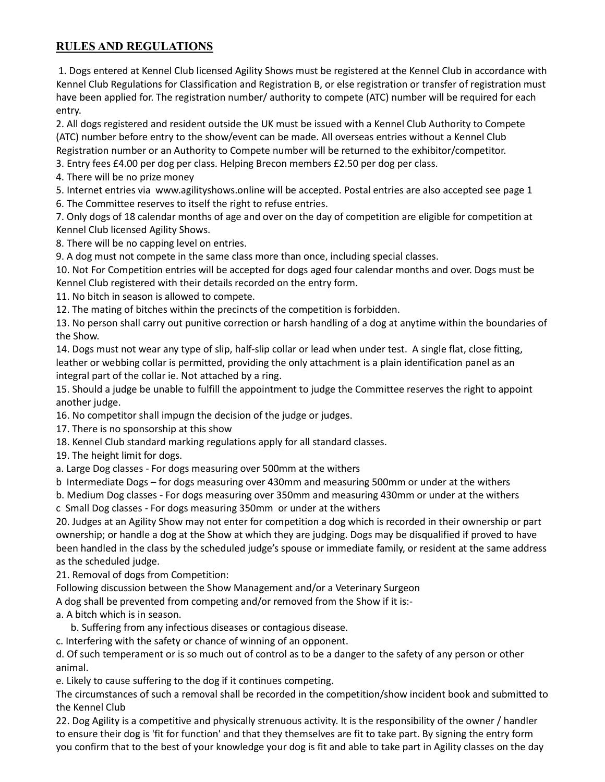## **RULES AND REGULATIONS**

1. Dogs entered at Kennel Club licensed Agility Shows must be registered at the Kennel Club in accordance with Kennel Club Regulations for Classification and Registration B, or else registration or transfer of registration must have been applied for. The registration number/ authority to compete (ATC) number will be required for each entry.

2. All dogs registered and resident outside the UK must be issued with a Kennel Club Authority to Compete (ATC) number before entry to the show/event can be made. All overseas entries without a Kennel Club Registration number or an Authority to Compete number will be returned to the exhibitor/competitor.

3. Entry fees £4.00 per dog per class. Helping Brecon members £2.50 per dog per class.

4. There will be no prize money

5. Internet entries via www.agilityshows.online will be accepted. Postal entries are also accepted see page 1

6. The Committee reserves to itself the right to refuse entries.

7. Only dogs of 18 calendar months of age and over on the day of competition are eligible for competition at Kennel Club licensed Agility Shows.

8. There will be no capping level on entries.

9. A dog must not compete in the same class more than once, including special classes.

10. Not For Competition entries will be accepted for dogs aged four calendar months and over. Dogs must be Kennel Club registered with their details recorded on the entry form.

11. No bitch in season is allowed to compete.

12. The mating of bitches within the precincts of the competition is forbidden.

13. No person shall carry out punitive correction or harsh handling of a dog at anytime within the boundaries of the Show.

14. Dogs must not wear any type of slip, half-slip collar or lead when under test. A single flat, close fitting, leather or webbing collar is permitted, providing the only attachment is a plain identification panel as an integral part of the collar ie. Not attached by a ring.

15. Should a judge be unable to fulfill the appointment to judge the Committee reserves the right to appoint another judge.

16. No competitor shall impugn the decision of the judge or judges.

17. There is no sponsorship at this show

18. Kennel Club standard marking regulations apply for all standard classes.

19. The height limit for dogs.

a. Large Dog classes - For dogs measuring over 500mm at the withers

b Intermediate Dogs – for dogs measuring over 430mm and measuring 500mm or under at the withers

b. Medium Dog classes - For dogs measuring over 350mm and measuring 430mm or under at the withers

c Small Dog classes - For dogs measuring 350mm or under at the withers

20. Judges at an Agility Show may not enter for competition a dog which is recorded in their ownership or part ownership; or handle a dog at the Show at which they are judging. Dogs may be disqualified if proved to have been handled in the class by the scheduled judge's spouse or immediate family, or resident at the same address as the scheduled judge.

21. Removal of dogs from Competition:

Following discussion between the Show Management and/or a Veterinary Surgeon

A dog shall be prevented from competing and/or removed from the Show if it is:-

a. A bitch which is in season.

b. Suffering from any infectious diseases or contagious disease.

c. Interfering with the safety or chance of winning of an opponent.

d. Of such temperament or is so much out of control as to be a danger to the safety of any person or other animal.

e. Likely to cause suffering to the dog if it continues competing.

The circumstances of such a removal shall be recorded in the competition/show incident book and submitted to the Kennel Club

22. Dog Agility is a competitive and physically strenuous activity. It is the responsibility of the owner / handler to ensure their dog is 'fit for function' and that they themselves are fit to take part. By signing the entry form you confirm that to the best of your knowledge your dog is fit and able to take part in Agility classes on the day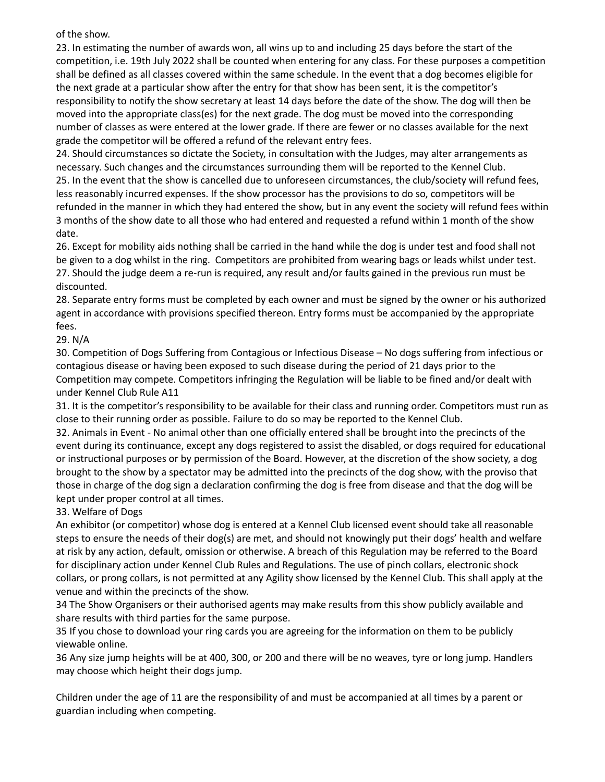### of the show.

23. In estimating the number of awards won, all wins up to and including 25 days before the start of the competition, i.e. 19th July 2022 shall be counted when entering for any class. For these purposes a competition shall be defined as all classes covered within the same schedule. In the event that a dog becomes eligible for the next grade at a particular show after the entry for that show has been sent, it is the competitor's responsibility to notify the show secretary at least 14 days before the date of the show. The dog will then be moved into the appropriate class(es) for the next grade. The dog must be moved into the corresponding number of classes as were entered at the lower grade. If there are fewer or no classes available for the next grade the competitor will be offered a refund of the relevant entry fees.

24. Should circumstances so dictate the Society, in consultation with the Judges, may alter arrangements as necessary. Such changes and the circumstances surrounding them will be reported to the Kennel Club. 25. In the event that the show is cancelled due to unforeseen circumstances, the club/society will refund fees, less reasonably incurred expenses. If the show processor has the provisions to do so, competitors will be refunded in the manner in which they had entered the show, but in any event the society will refund fees within 3 months of the show date to all those who had entered and requested a refund within 1 month of the show date.

26. Except for mobility aids nothing shall be carried in the hand while the dog is under test and food shall not be given to a dog whilst in the ring. Competitors are prohibited from wearing bags or leads whilst under test. 27. Should the judge deem a re-run is required, any result and/or faults gained in the previous run must be discounted.

28. Separate entry forms must be completed by each owner and must be signed by the owner or his authorized agent in accordance with provisions specified thereon. Entry forms must be accompanied by the appropriate fees.

29. N/A

30. Competition of Dogs Suffering from Contagious or Infectious Disease – No dogs suffering from infectious or contagious disease or having been exposed to such disease during the period of 21 days prior to the Competition may compete. Competitors infringing the Regulation will be liable to be fined and/or dealt with under Kennel Club Rule A11

31. It is the competitor's responsibility to be available for their class and running order. Competitors must run as close to their running order as possible. Failure to do so may be reported to the Kennel Club.

32. Animals in Event - No animal other than one officially entered shall be brought into the precincts of the event during its continuance, except any dogs registered to assist the disabled, or dogs required for educational or instructional purposes or by permission of the Board. However, at the discretion of the show society, a dog brought to the show by a spectator may be admitted into the precincts of the dog show, with the proviso that those in charge of the dog sign a declaration confirming the dog is free from disease and that the dog will be kept under proper control at all times.

33. Welfare of Dogs

An exhibitor (or competitor) whose dog is entered at a Kennel Club licensed event should take all reasonable steps to ensure the needs of their dog(s) are met, and should not knowingly put their dogs' health and welfare at risk by any action, default, omission or otherwise. A breach of this Regulation may be referred to the Board for disciplinary action under Kennel Club Rules and Regulations. The use of pinch collars, electronic shock collars, or prong collars, is not permitted at any Agility show licensed by the Kennel Club. This shall apply at the venue and within the precincts of the show.

34 The Show Organisers or their authorised agents may make results from this show publicly available and share results with third parties for the same purpose.

35 If you chose to download your ring cards you are agreeing for the information on them to be publicly viewable online.

36 Any size jump heights will be at 400, 300, or 200 and there will be no weaves, tyre or long jump. Handlers may choose which height their dogs jump.

Children under the age of 11 are the responsibility of and must be accompanied at all times by a parent or guardian including when competing.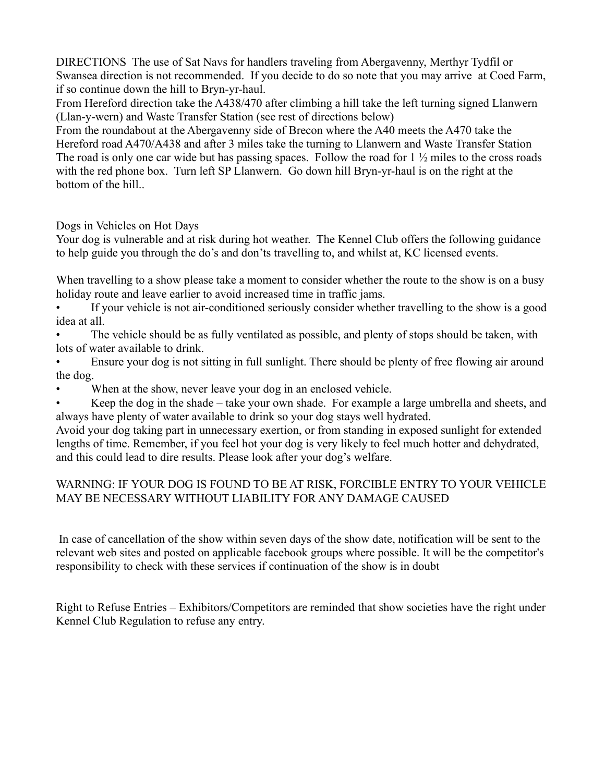DIRECTIONS The use of Sat Navs for handlers traveling from Abergavenny, Merthyr Tydfil or Swansea direction is not recommended. If you decide to do so note that you may arrive at Coed Farm, if so continue down the hill to Bryn-yr-haul.

From Hereford direction take the A438/470 after climbing a hill take the left turning signed Llanwern (Llan-y-wern) and Waste Transfer Station (see rest of directions below)

From the roundabout at the Abergavenny side of Brecon where the A40 meets the A470 take the Hereford road A470/A438 and after 3 miles take the turning to Llanwern and Waste Transfer Station The road is only one car wide but has passing spaces. Follow the road for  $1\frac{1}{2}$  miles to the cross roads with the red phone box. Turn left SP Llanwern. Go down hill Bryn-yr-haul is on the right at the bottom of the hill..

Dogs in Vehicles on Hot Days

Your dog is vulnerable and at risk during hot weather. The Kennel Club offers the following guidance to help guide you through the do's and don'ts travelling to, and whilst at, KC licensed events.

When travelling to a show please take a moment to consider whether the route to the show is on a busy holiday route and leave earlier to avoid increased time in traffic jams.

• If your vehicle is not air-conditioned seriously consider whether travelling to the show is a good idea at all.

The vehicle should be as fully ventilated as possible, and plenty of stops should be taken, with lots of water available to drink.

• Ensure your dog is not sitting in full sunlight. There should be plenty of free flowing air around the dog.

When at the show, never leave your dog in an enclosed vehicle.

• Keep the dog in the shade – take your own shade. For example a large umbrella and sheets, and always have plenty of water available to drink so your dog stays well hydrated.

Avoid your dog taking part in unnecessary exertion, or from standing in exposed sunlight for extended lengths of time. Remember, if you feel hot your dog is very likely to feel much hotter and dehydrated, and this could lead to dire results. Please look after your dog's welfare.

### WARNING: IF YOUR DOG IS FOUND TO BE AT RISK, FORCIBLE ENTRY TO YOUR VEHICLE MAY BE NECESSARY WITHOUT LIABILITY FOR ANY DAMAGE CAUSED

In case of cancellation of the show within seven days of the show date, notification will be sent to the relevant web sites and posted on applicable facebook groups where possible. It will be the competitor's responsibility to check with these services if continuation of the show is in doubt

Right to Refuse Entries – Exhibitors/Competitors are reminded that show societies have the right under Kennel Club Regulation to refuse any entry.